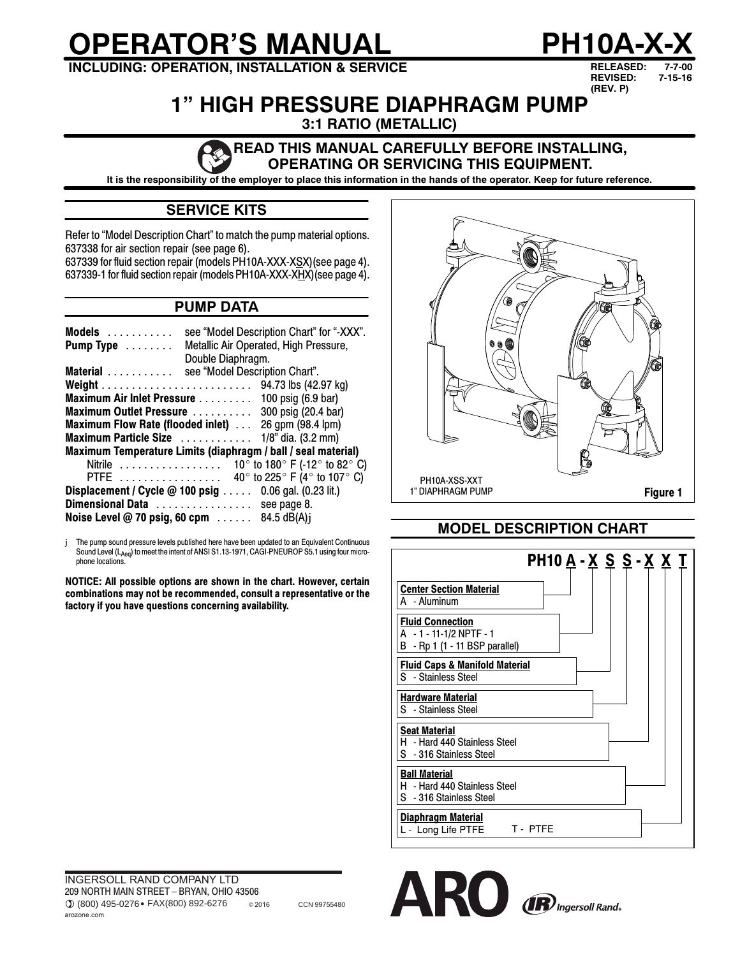# **OPERATOR'S MANUAL PH10A-X-X**

**INCLUDING: OPERATION, INSTALLATION & SERVICE**

**RELEASED: 7-7-00 REVISED: (REV. P) 7-15-16**

# **1" HIGH PRESSURE DIAPHRAGM PUMP**

**3:1 RATIO (METALLIC)**

#### **READ THIS MANUAL CAREFULLY BEFORE INSTALLING, OPERATING OR SERVICING THIS EQUIPMENT.**

**It is the responsibility of the employer to place this information in the hands of the operator. Keep for future reference.**

# **SERVICE KITS**

Refer to "Model Description Chart" to match the pump material options. 637338 for air section repair (see page 6).

637339 for fluid section repair (models PH10A-XXX-XSX)(see page 4). 637339-1 for fluid section repair (models PH10A-XXX-XHX)(see page 4).

# **PUMP DATA**

| Models<br>Pump Type $\dots \dots$ | see "Model Description Chart" for "-XXX".<br>Metallic Air Operated, High Pressure, |
|-----------------------------------|------------------------------------------------------------------------------------|
|                                   | Double Diaphragm.                                                                  |
| Material                          | see "Model Description Chart".                                                     |
|                                   |                                                                                    |
|                                   | Maximum Air Inlet Pressure 100 psig (6.9 bar)                                      |
| Maximum Outlet Pressure           | 300 psig (20.4 bar)                                                                |
| Maximum Flow Rate (flooded inlet) | 26 gpm (98.4 lpm)                                                                  |
|                                   | Maximum Particle Size  1/8" dia. (3.2 mm)                                          |
|                                   | Maximum Temperature Limits (diaphragm / ball / seal material)                      |
|                                   | Nitrile $\ldots \ldots \ldots \ldots \ldots$ 10° to 180° F (-12° to 82° C)         |
| PTFE                              | 40 $\degree$ to 225 $\degree$ F (4 $\degree$ to 107 $\degree$ C)                   |
|                                   | <b>Displacement / Cycle @ 100 psig </b> 0.06 gal. (0.23 lit.)                      |
|                                   | Dimensional Data see page 8.                                                       |
|                                   | Noise Level @ 70 psig, 60 cpm $\ldots$ . 84.5 dB(A)j                               |

j The pump sound pressure levels published here have been updated to an Equivalent Continuous Sound Level (LAeq) to meet the intent of ANSI S1.13-1971, CAGI-PNEUROP S5.1 using four microphone locations.

**NOTICE: All possible options are shown in the chart. However, certain combinations may not be recommended, consult a representative or the factory if you have questions concerning availability.**



# **MODEL DESCRIPTION CHART**





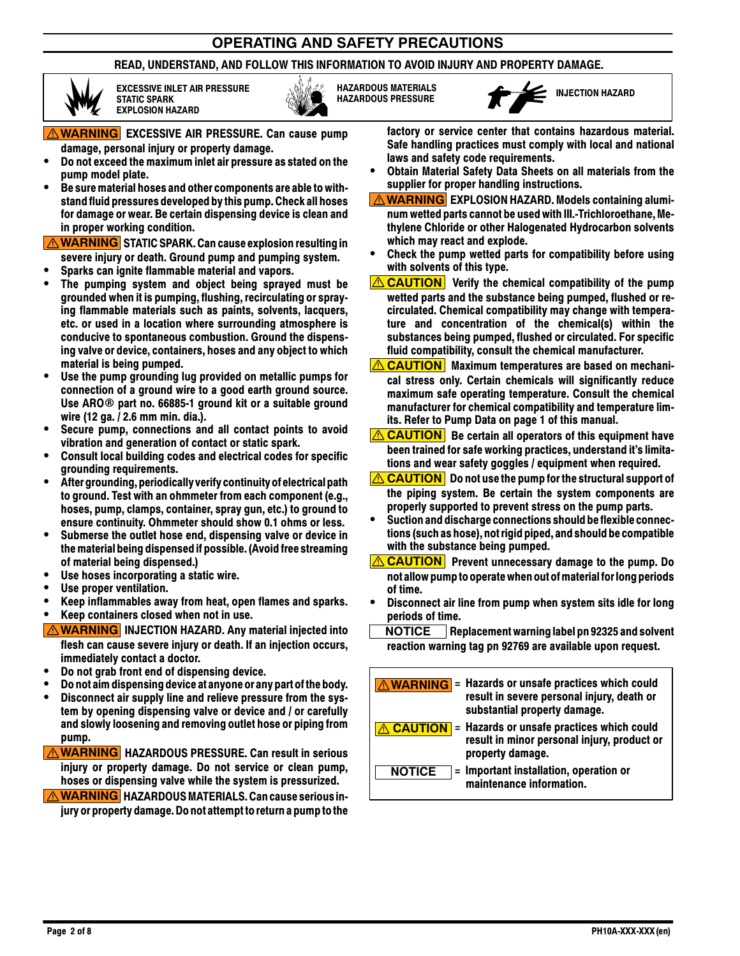# **OPERATING AND SAFETY PRECAUTIONS**

#### **READ, UNDERSTAND, AND FOLLOW THIS INFORMATION TO AVOID INJURY AND PROPERTY DAMAGE.**



**EXCESSIVE INLET AIR PRESSURE STATIC SPARK EXPLOSION HAZARD**



**HAZARDOUS MATERIALS**



**WARNING EXCESSIVE AIR PRESSURE. Can cause pump damage, personal injury or property damage.**

- **Do not exceed the maximum inlet air pressure as stated on the pump model plate.**
- **Be sure material hoses and other components are able to withstand fluid pressures developed bythis pump. Check all hoses for damage or wear. Be certain dispensing device is clean and in proper working condition.**

**WARNING STATIC SPARK. Can cause explosion resulting in severe injury or death. Ground pump and pumping system.**

- **Sparks can ignite flammable material and vapors.**
- **The pumping system and object being sprayed must be grounded when it is pumping, flushing, recirculating or spraying flammable materials such as paints, solvents, lacquers, etc. or used in a location where surrounding atmosphere is conducive to spontaneous combustion. Ground the dispensing valve or device, containers, hoses and any object to which material is being pumped.**
- **Use the pump grounding lug provided on metallic pumps for connection of a ground wire to a good earth ground source. Use ARO part no. 66885-1 ground kit or a suitable ground wire (12 ga. / 2.6 mm min. dia.).**
- **Secure pump, connections and all contact points to avoid vibration and generation of contact or static spark.**
- **Consult local building codes and electrical codes for specific grounding requirements.**
- **After grounding, periodicallyverify continuity of electrical path to ground. Test with an ohmmeter from each component (e.g., hoses, pump, clamps, container, spray gun, etc.) to ground to ensure continuity. Ohmmeter should show 0.1 ohms or less.**
- **Submerse the outlet hose end, dispensing valve or device in the material being dispensed if possible.(Avoid free streaming of material being dispensed.)**
- **Use hoses incorporating a static wire.**
- **Use proper ventilation.**
- **Keep inflammables away from heat, open flames and sparks.**

**Keep containers closed when not in use.**

- **<u>A WARNING</u>** INJECTION HAZARD. Any material injected into **flesh can cause severe injury or death. If an injection occurs, immediately contact a doctor.**
- **Do not grab front end of dispensing device.**
- **Do not aim dispensing device at anyone or any part of the body.**
- **Disconnect air supply line and relieve pressure from the system by opening dispensing valve or device and / or carefully and slowly loosening and removing outlet hose or piping from pump.**

**WARNING HAZARDOUS PRESSURE. Can result in serious injury or property damage. Do not service or clean pump, hoses or dispensing valve while the system is pressurized.**

*A* **WARNING HAZARDOUS MATERIALS. Can cause serious injury or property damage. Do not attemptto return a pump tothe** **factory or service center that contains hazardous material. Safe handling practices must comply with local and national laws and safety code requirements.**

- **Obtain Material Safety Data Sheets on all materials from the supplier for proper handling instructions.**
- **WARNING EXPLOSION HAZARD. Models containing aluminum wetted parts cannot be used with III.-Trichloroethane, Methylene Chloride or other Halogenated Hydrocarbon solvents which may react and explode.**
- **Check the pump wetted parts for compatibility before using with solvents of this type.**
- **CAUTION Verify the chemical compatibility of the pump wetted parts and the substance being pumped, flushed or recirculated. Chemical compatibility may change with temperature and concentration of the chemical(s) within the substances being pumped, flushed or circulated. For specific fluid compatibility, consult the chemical manufacturer.**
- *A* **CAUTION** Maximum temperatures are based on mechani**cal stress only. Certain chemicals will significantly reduce maximum safe operating temperature. Consult the chemical manufacturer for chemical compatibility and temperature limits. Refer to Pump Data on page 1 of this manual.**
- *CAUTION* Be certain all operators of this equipment have **been trained for safe working practices, understand it's limitations and wear safety goggles / equipment when required.**
- *CAUTION* Do not use the pump for the structural support of **the piping system. Be certain the system components are properly supported to prevent stress on the pump parts.**
- **Suction and discharge connections should beflexible connections(such as hose), not rigid piped, and should be compatible with the substance being pumped.**
- **CAUTION Prevent unnecessary damage to the pump. Do not allow pumpto operatewhen out of materialfor long periods of time.**
- **Disconnect air line from pump when system sits idle for long periods of time.**
- **NOTICE Replacement warning label pn 92325 and solvent reaction warning tag pn 92769 are available upon request.**

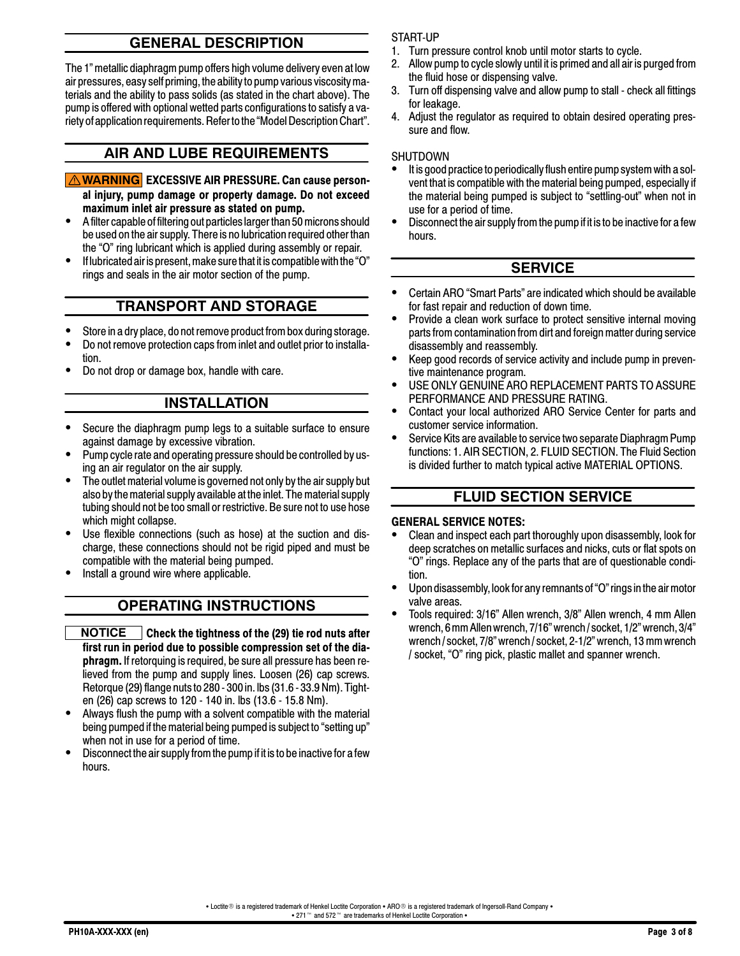# **GENERAL DESCRIPTION**

The 1" metallic diaphragm pump offers high volume delivery even at low air pressures, easy self priming, the ability to pump various viscositymaterials and the ability to pass solids (as stated in the chart above). The pump is offered with optional wetted parts configurations to satisfy a variety of application requirements. Refer to the "Model Description Chart".

### **AIR AND LUBE REQUIREMENTS**

- **WARNING EXCESSIVE AIR PRESSURE. Can cause personal injury, pump damage or property damage. Do not exceed maximum inlet air pressure as stated on pump.**
- A filter capable of filtering out particles larger than 50microns should be used on the air supply. There is no lubrication required other than the "O" ring lubricant which is applied during assembly or repair.
- $\bullet$  If lubricated air is present, make sure that it is compatible with the "O" rings and seals in the air motor section of the pump.

#### **TRANSPORT AND STORAGE**

- Store in a dry place, do not remove product from box during storage.
- Do not remove protection caps from inlet and outlet prior to installation.
- Do not drop or damage box, handle with care.

# **INSTALLATION**

- Secure the diaphragm pump legs to a suitable surface to ensure against damage by excessive vibration.
- Pump cycle rate and operating pressure should be controlled by using an air regulator on the air supply.
- The outlet material volume is governed not only by the air supply but also by the material supply available at the inlet. The material supply tubing should not be too small or restrictive. Be sure not to use hose which might collapse.
- Use flexible connections (such as hose) at the suction and discharge, these connections should not be rigid piped and must be compatible with the material being pumped.
- Install a ground wire where applicable.

#### **OPERATING INSTRUCTIONS**

- **NOTICE Check the tightness of the (29) tie rod nuts after first run in period due to possible compression set of the diaphragm.** If retorquing is required, be sure all pressure has been relieved from the pump and supply lines. Loosen (26) cap screws. Retorque (29) flange nuts to 280- 300 in. lbs(31.6 - 33.9 Nm). Tighten (26) cap screws to 120 - 140 in. lbs (13.6 - 15.8 Nm).
- Always flush the pump with a solvent compatible with the material being pumped if the material being pumped is subject to "setting up" when not in use for a period of time.
- Disconnect the air supply from the pump if it is to be inactive for a few hours.

#### START-UP

- 1. Turn pressure control knob until motor starts to cycle.
- 2. Allow pump to cycle slowly until it is primed and all air is purged from the fluid hose or dispensing valve.
- 3. Turn off dispensing valve and allow pump to stall check all fittings for leakage.
- 4. Adjust the regulator as required to obtain desired operating pressure and flow.

#### SHUTDOWN

- It is good practice to periodically flush entire pump system with a solvent that is compatible with the material being pumped, especially if the material being pumped is subject to "settling-out" when not in use for a period of time.
- Disconnect the air supply from the pump if it is to be inactive for a few hours.

#### **SERVICE**

- Certain ARO "Smart Parts" are indicated which should be available for fast repair and reduction of down time.
- Provide a clean work surface to protect sensitive internal moving parts from contamination from dirt and foreign matter during service disassembly and reassembly.
- Keep good records of service activity and include pump in preventive maintenance program.
- USE ONLY GENUINE ARO REPLACEMENT PARTS TO ASSURE PERFORMANCE AND PRESSURE RATING.
- Contact your local authorized ARO Service Center for parts and customer service information.
- Service Kits are available to service two separate Diaphragm Pump functions: 1. AIR SECTION, 2. FLUID SECTION. The Fluid Section is divided further to match typical active MATERIAL OPTIONS.

#### **FLUID SECTION SERVICE**

#### **GENERAL SERVICE NOTES:**

- Clean and inspect each part thoroughly upon disassembly, look for deep scratches on metallic surfaces and nicks, cuts or flat spots on "O" rings. Replace any of the parts that are of questionable condition.
- Upon disassembly, look for any remnants of "O" rings in the air motor valve areas.
- Tools required: 3/16" Allen wrench, 3/8" Allen wrench, 4 mm Allen wrench, 6mm Allen wrench, 7/16" wrench / socket, 1/2" wrench, 3/4" wrench / socket, 7/8" wrench / socket, 2-1/2" wrench, 13 mm wrench / socket, "O" ring pick, plastic mallet and spanner wrench.

• Loctite  $\circ$  is a registered trademark of Henkel Loctite Corporation • ARO  $\circ$  is a registered trademark of Ingersoll-Rand Company • 271 ™ and 572 ™ are trademarks of Henkel Loctite Corporation •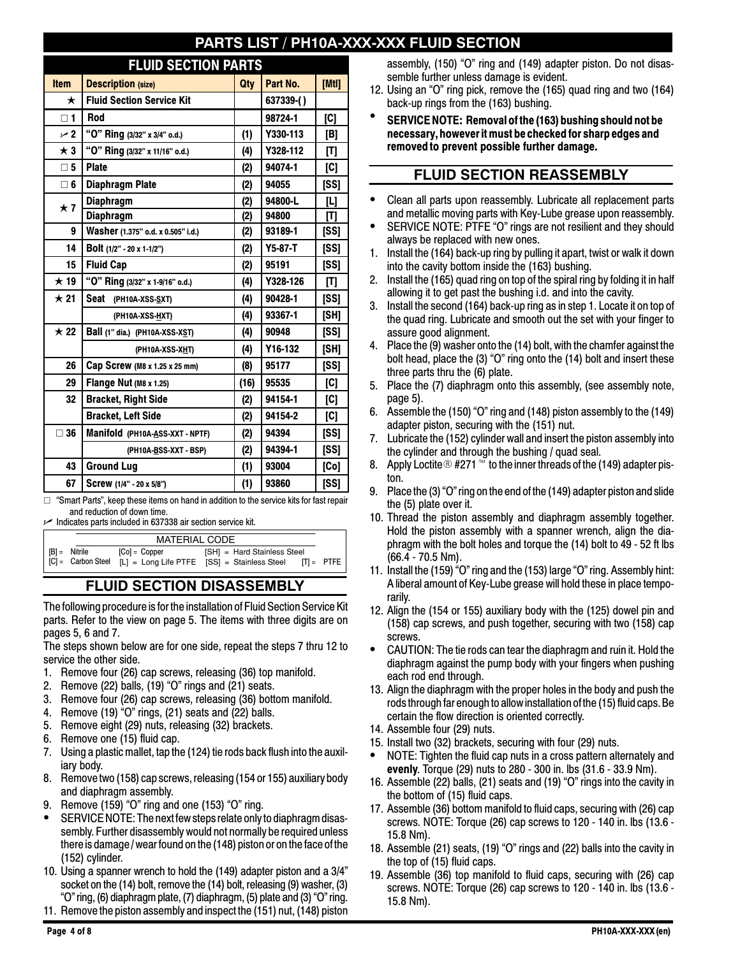# **PARTS ARTS IN A FILUID SECTION**

# **FLUID SECTION PARTS**

| <b>Item</b>  | - 7<br><u>v - v</u><br><u>ivit i<i>f</i></u><br><b>Description (size)</b> | Qty  | Part No.  | [Mtl] |
|--------------|---------------------------------------------------------------------------|------|-----------|-------|
| ★            | <b>Fluid Section Service Kit</b>                                          |      | 637339-() |       |
| $\square$ 1  | Rod                                                                       |      | 98724-1   | [C]   |
| $\sim$ 2     | "O" Ring (3/32" x 3/4" o.d.)                                              | (1)  | Y330-113  | [B]   |
| $\star$ 3    | "O" Ring (3/32" x 11/16" o.d.)                                            | (4)  | Y328-112  | [T]   |
| $\square$ 5  | <b>Plate</b>                                                              | (2)  | 94074-1   | [C]   |
| $\square$ 6  | <b>Diaphragm Plate</b>                                                    | (2)  | 94055     | [SS]  |
| $\star$ 7    | <b>Diaphragm</b>                                                          | (2)  | 94800-L   | [L]   |
|              | <b>Diaphragm</b>                                                          | (2)  | 94800     | [T]   |
| 9            | Washer (1.375" o.d. x 0.505" i.d.)                                        | (2)  | 93189-1   | [SS]  |
| 14           | Bolt (1/2" - 20 x 1-1/2")                                                 | (2)  | $Y5-87-T$ | [SS]  |
| 15           | <b>Fluid Cap</b>                                                          | (2)  | 95191     | [SS]  |
| $\star$ 19   | "O" Ring (3/32" x 1-9/16" o.d.)                                           | (4)  | Y328-126  | [T]   |
| $\star$ 21   | Seat<br>(PH10A-XSS-SXT)                                                   | (4)  | 90428-1   | [SS]  |
|              | (PH10A-XSS-HXT)                                                           | (4)  | 93367-1   | [SH]  |
| $\star$ 22   | Ball (1" dia.) (PH10A-XSS-XST)                                            | (4)  | 90948     | [SS]  |
|              | (PH10A-XSS-XHT)                                                           | (4)  | Y16-132   | [SH]  |
| 26           | Cap Screw (M8 x 1.25 x 25 mm)                                             | (8)  | 95177     | [SS]  |
| 29           | Flange Nut (M8 x 1.25)                                                    | (16) | 95535     | [C]   |
| 32           | <b>Bracket, Right Side</b>                                                | (2)  | 94154-1   | [C]   |
|              | <b>Bracket, Left Side</b>                                                 | (2)  | 94154-2   | [C]   |
| $\square$ 36 | Manifold (PH10A-ASS-XXT - NPTF)                                           | (2)  | 94394     | [SS]  |
|              | (PH10A-BSS-XXT - BSP)                                                     | (2)  | 94394-1   | [SS]  |
| 43           | <b>Ground Lug</b>                                                         | (1)  | 93004     | [Co]  |
| 67           | Screw (1/4" - 20 x 5/8")                                                  | (1)  | 93860     | [SS]  |

 "Smart Parts", keep these items on hand in addition to the service kits for fast repair and reduction of down time.

 Indicates parts included in 637338 air section service kit.

|                 | <b>MATERIAL CODE</b> |                                                                                                            |  |
|-----------------|----------------------|------------------------------------------------------------------------------------------------------------|--|
| $ B $ = Nitrile | $[Col = Copper$      | [SH] = Hard Stainless Steel<br>  [C] = Carbon Steel [L] = Long Life PTFE [SS] = Stainless Steel [T] = PTFE |  |

# **FLUID SECTION DISASSEMBLY**

The following procedure is for the installation of Fluid Section Service Kit parts. Refer to the view on page 5. The items with three digits are on pages 5, 6 and 7.

The steps shown below are for one side, repeat the steps 7 thru 12 to service the other side.

- 1. Remove four (26) cap screws, releasing (36) top manifold.
- 2. Remove (22) balls, (19) "O" rings and (21) seats.
- 3. Remove four (26) cap screws, releasing (36) bottom manifold.
- 4. Remove (19) "O" rings, (21) seats and (22) balls.
- 5. Remove eight (29) nuts, releasing (32) brackets.
- 6. Remove one (15) fluid cap.
- 7. Using a plastic mallet, tap the (124) tie rods back flush into the auxiliary body.
- 8. Remove two (158) cap screws, releasing (154 or 155) auxiliary body and diaphragm assembly.
- 9. Remove (159) "O" ring and one (153) "O" ring.
- SERVICENOTE: The next few stepsrelate only to diaphragm disassembly. Further disassembly would not normally be required unless there is damage / wear found on the(148) piston or on the face of the (152) cylinder.
- 10. Using a spanner wrench to hold the (149) adapter piston and a 3/4" socket on the (14) bolt, remove the (14) bolt, releasing (9) washer, (3) "O" ring,(6) diaphragm plate,(7) diaphragm,(5) plate and(3) "O" ring.
- 11. Remove the piston assembly and inspect the (151) nut, (148) piston

assembly, (150) "O" ring and (149) adapter piston. Do not disassemble further unless damage is evident.

- 12. Using an "O" ring pick, remove the (165) quad ring and two (164) back-up rings from the (163) bushing.
- **SERVICE NOTE: Removal of the (163) bushing should not be necessary, however it must be checked for sharp edges and removed to prevent possible further damage.**

### **FLUID SECTION REASSEMBLY**

- Clean all parts upon reassembly. Lubricate all replacement parts and metallic moving parts with Key-Lube grease upon reassembly.
- SERVICE NOTE: PTFE "O" rings are not resilient and they should always be replaced with new ones.
- 1. Install the (164) back-up ring by pulling it apart, twist or walk it down into the cavity bottom inside the (163) bushing.
- 2. Install the (165) quad ring on top of the spiral ring by folding it in half allowing it to get past the bushing i.d. and into the cavity.
- 3. Install the second (164) back-up ring as in step 1. Locate it on top of the quad ring. Lubricate and smooth out the set with your finger to assure good alignment.
- 4. Place the (9) washer onto the (14) bolt, with the chamfer against the bolt head, place the (3) "O" ring onto the (14) bolt and insert these three parts thru the (6) plate.
- 5. Place the (7) diaphragm onto this assembly, (see assembly note, page 5).
- 6. Assemble the (150) "O" ring and (148) piston assembly to the (149) adapter piston, securing with the (151) nut.
- 7. Lubricate the (152) cylinder wall and insert the piston assembly into the cylinder and through the bushing / quad seal.
- 8. Apply Loctite  $\textcircled{B}$  #271 <sup>to</sup> to the inner threads of the (149) adapter piston.
- 9. Place the (3) "O" ring on the end of the (149) adapter piston and slide the (5) plate over it.
- 10. Thread the piston assembly and diaphragm assembly together. Hold the piston assembly with a spanner wrench, align the diaphragm with the bolt holes and torque the (14) bolt to 49 - 52 ft lbs (66.4 - 70.5 Nm).
- 11. Install the (159) "O" ring and the (153) large "O" ring. Assembly hint: A liberal amount of Key-Lube grease will hold these in place temporarily.
- 12. Align the (154 or 155) auxiliary body with the (125) dowel pin and (158) cap screws, and push together, securing with two (158) cap screws.
- CAUTION: The tie rods can tear the diaphragm and ruin it. Hold the diaphragm against the pump body with your fingers when pushing each rod end through.
- 13. Align the diaphragm with the proper holes in the body and push the rods through far enough to allow installation of the(15) fluid caps. Be certain the flow direction is oriented correctly.
- 14. Assemble four (29) nuts.
- 15. Install two (32) brackets, securing with four (29) nuts.
- NOTE: Tighten the fluid cap nuts in a cross pattern alternately and **evenly**. Torque (29) nuts to 280 - 300 in. lbs (31.6 - 33.9 Nm).
- 16. Assemble (22) balls, (21) seats and (19) "O" rings into the cavity in the bottom of (15) fluid caps.
- 17. Assemble (36) bottom manifold to fluid caps, securing with (26) cap screws. NOTE: Torque (26) cap screws to 120 - 140 in. lbs (13.6 - 15.8 Nm).
- 18. Assemble (21) seats, (19) "O" rings and (22) balls into the cavity in the top of (15) fluid caps.
- 19. Assemble (36) top manifold to fluid caps, securing with (26) cap screws. NOTE: Torque (26) cap screws to 120 - 140 in. lbs (13.6 - 15.8 Nm).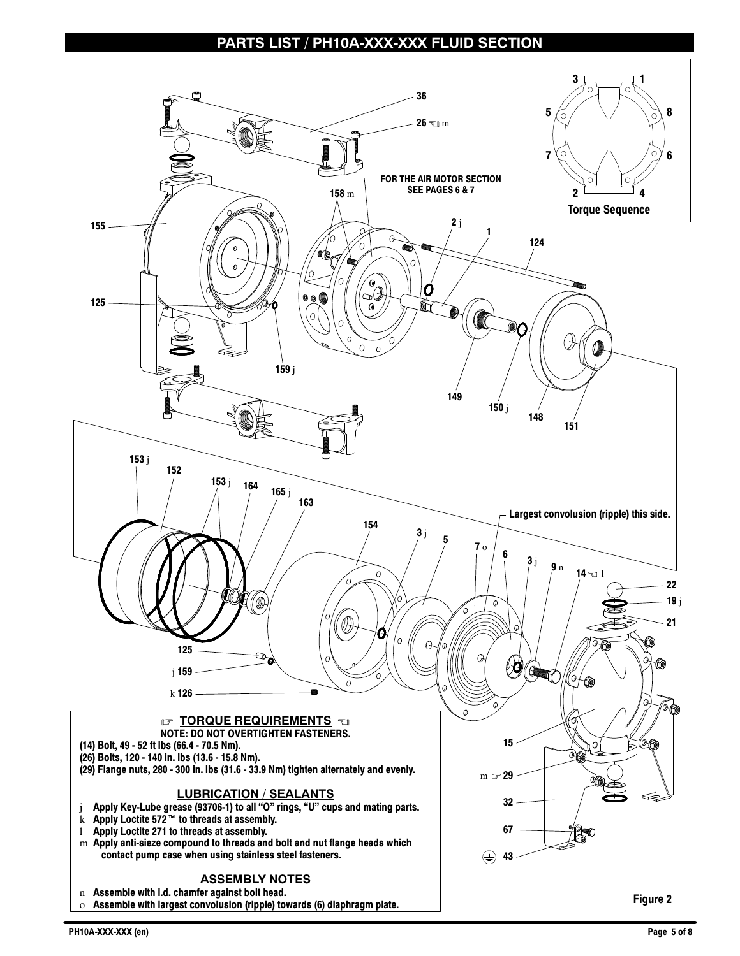#### **PARTS LIST / PH10A-XXX-XXX FLUID SECTION**

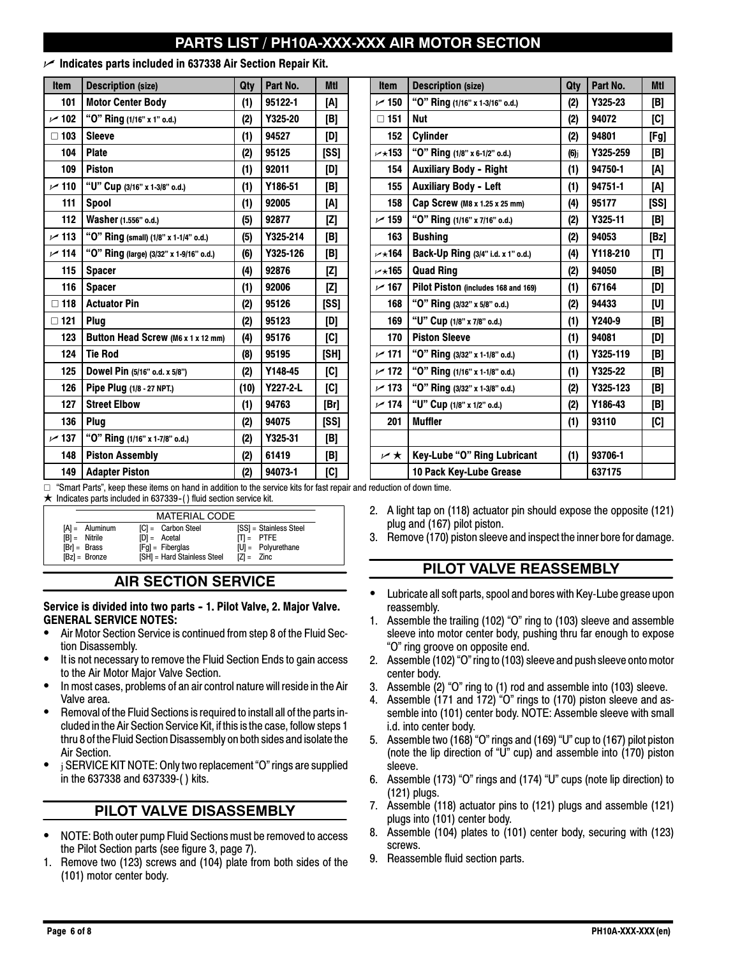# **PARTS LIST / PH10A-XXX-XXX AIR MOTOR SECTION**

#### **Indicates parts included in 637338 Air Section Repair Kit.**

| <b>Item</b>   | <b>Description (size)</b>               | Qty  | Part No. | <b>Mtl</b> | <b>Item</b>       | <b>Description (size)</b>           | Qty     | Part No. | <b>MtI</b> |
|---------------|-----------------------------------------|------|----------|------------|-------------------|-------------------------------------|---------|----------|------------|
| 101           | <b>Motor Center Body</b>                | (1)  | 95122-1  | [A]        | $\sim$ 150        | "O" Ring (1/16" x 1-3/16" o.d.)     | (2)     | Y325-23  | [B]        |
| ~102          | "O" Ring (1/16" x 1" o.d.)              | (2)  | Y325-20  | [B]        | $\Box$ 151        | <b>Nut</b>                          | (2)     | 94072    | [C]        |
| $\square$ 103 | <b>Sleeve</b>                           | (1)  | 94527    | [D]        | 152               | Cylinder                            | (2)     | 94801    | [Fg]       |
| 104           | <b>Plate</b>                            | (2)  | 95125    | [SS]       | $\nu$ $\star$ 153 | "O" Ring (1/8" x 6-1/2" o.d.)       | $(6)$ j | Y325-259 | [B]        |
| 109           | <b>Piston</b>                           | (1)  | 92011    | [D]        | 154               | <b>Auxiliary Body - Right</b>       | (1)     | 94750-1  | [A]        |
| $\sim$ 110    | "U" Cup (3/16" x 1-3/8" o.d.)           | (1)  | Y186-51  | [B]        | 155               | <b>Auxiliary Body - Left</b>        | (1)     | 94751-1  | [A]        |
| 111           | <b>Spool</b>                            | (1)  | 92005    | [A]        | 158               | Cap Screw (M8 x 1.25 x 25 mm)       | (4)     | 95177    | [SS]       |
| 112           | Washer (1.556" o.d.)                    | (5)  | 92877    | [Z]        | $\sim$ 159        | "O" Ring (1/16" x 7/16" o.d.)       | (2)     | Y325-11  | [B]        |
| $\sim$ 113    | "O" Ring (small) (1/8" x 1-1/4" o.d.)   | (5)  | Y325-214 | [B]        | 163               | <b>Bushing</b>                      | (2)     | 94053    | [Bz]       |
| ~114          | "O" Ring (large) (3/32" x 1-9/16" o.d.) | (6)  | Y325-126 | [B]        | $\nu$ $\star$ 164 | Back-Up Ring (3/4" i.d. x 1" o.d.)  | (4)     | Y118-210 | [T]        |
| 115           | <b>Spacer</b>                           | (4)  | 92876    | [Z]        | $\nu$ $\star$ 165 | <b>Quad Ring</b>                    | (2)     | 94050    | [B]        |
| 116           | <b>Spacer</b>                           | (1)  | 92006    | [Z]        | $\sim$ 167        | Pilot Piston (includes 168 and 169) | (1)     | 67164    | [D]        |
| $\square$ 118 | <b>Actuator Pin</b>                     | (2)  | 95126    | [SS]       | 168               | "O" Ring (3/32" x 5/8" o.d.)        | (2)     | 94433    | [U]        |
| $\square$ 121 | Plug                                    | (2)  | 95123    | [D]        | 169               | "U" Cup (1/8" x 7/8" o.d.)          | (1)     | Y240-9   | [B]        |
| 123           | Button Head Screw (M6 x 1 x 12 mm)      | (4)  | 95176    | [C]        | 170               | <b>Piston Sleeve</b>                | (1)     | 94081    | [D]        |
| 124           | <b>Tie Rod</b>                          | (8)  | 95195    | [SH]       | ~171              | "O" Ring (3/32" x 1-1/8" o.d.)      | (1)     | Y325-119 | [B]        |
| 125           | Dowel Pin (5/16" o.d. x 5/8")           | (2)  | Y148-45  | [C]        | $\sim$ 172        | "O" Ring (1/16" x 1-1/8" o.d.)      | (1)     | Y325-22  | [B]        |
| 126           | Pipe Plug (1/8 - 27 NPT.)               | (10) | Y227-2-L | [C]        | ~173              | "O" Ring (3/32" x 1-3/8" o.d.)      | (2)     | Y325-123 | [B]        |
| 127           | <b>Street Elbow</b>                     | (1)  | 94763    | [Br]       | ~174              | "U" Cup (1/8" x 1/2" o.d.)          | (2)     | Y186-43  | [B]        |
| 136           | <b>Plug</b>                             | (2)  | 94075    | [SS]       | 201               | <b>Muffler</b>                      | (1)     | 93110    | [C]        |
| 137 س         | "O" Ring (1/16" x 1-7/8" o.d.)          | (2)  | Y325-31  | [B]        |                   |                                     |         |          |            |
| 148           | <b>Piston Assembly</b>                  | (2)  | 61419    | [B]        | r ★               | Key-Lube "O" Ring Lubricant         | (1)     | 93706-1  |            |
| 149           | <b>Adapter Piston</b>                   | (2)  | 94073-1  | [C]        |                   | 10 Pack Key-Lube Grease             |         | 637175   |            |

 $\Box$  "Smart Parts", keep these items on hand in addition to the service kits for fast repair and reduction of down time.

 $\star$  Indicates parts included in 637339-() fluid section service kit.

|                  | <b>MATERIAL CODE</b>        |                        |
|------------------|-----------------------------|------------------------|
| $[A] =$ Aluminum | $ C  =$ Carbon Steel        | [SS] = Stainless Steel |
| $[B] =$ Nitrile  | $[D] = \text{Acetal}$       | $\Pi = P \text{TFE}$   |
| $[Br] = Brass$   | $[Eq] = Fiberalas$          | $[U] =$ Polyurethane   |
| $[Bz] =$ Bronze  | [SH] = Hard Stainless Steel | $[Z] = Zinc$           |

# **AIR SECTION SERVICE**

#### Service is divided into two parts - 1. Pilot Valve, 2. Major Valve. **GENERAL SERVICE NOTES:**

- Air Motor Section Service is continued from step 8 of the Fluid Section Disassembly.
- It is not necessary to remove the Fluid Section Ends to gain access to the Air Motor Major Valve Section.
- In most cases, problems of an air control nature will reside in the Air Valve area.
- Removal of the Fluid Sections is required to install all of the parts included in the Air Section Service Kit, if this is the case, follow steps 1 thru 8 of the Fluid Section Disassembly on both sides and isolate the Air Section.
- <sup>j</sup> SERVICE KIT NOTE: Only two replacement "O" rings are supplied in the 637338 and 637339-( ) kits.

# **PILOT VALVE DISASSEMBLY**

- NOTE: Both outer pump Fluid Sections must be removed to access the Pilot Section parts (see figure 3, page 7).
- 1. Remove two (123) screws and (104) plate from both sides of the (101) motor center body.
- 2. A light tap on (118) actuator pin should expose the opposite (121) plug and (167) pilot piston.
- 3. Remove (170) piston sleeve and inspect the inner bore for damage.

# **PILOT VALVE REASSEMBLY**

- Lubricate all soft parts, spool and bores with Key-Lube grease upon reassembly.
- 1. Assemble the trailing (102) "O" ring to (103) sleeve and assemble sleeve into motor center body, pushing thru far enough to expose "O" ring groove on opposite end.
- 2. Assemble (102) "O" ring to (103) sleeve and push sleeve onto motor center body.
- 3. Assemble (2) "O" ring to (1) rod and assemble into (103) sleeve.
- 4. Assemble (171 and 172) "O" rings to (170) piston sleeve and assemble into (101) center body. NOTE: Assemble sleeve with small i.d. into center body.
- 5. Assemble two (168) "O" rings and (169) "U" cup to (167) pilot piston (note the lip direction of "U" cup) and assemble into (170) piston sleeve.
- 6. Assemble (173) "O" rings and (174) "U" cups (note lip direction) to (121) plugs.
- 7. Assemble (118) actuator pins to (121) plugs and assemble (121) plugs into (101) center body.
- 8. Assemble (104) plates to (101) center body, securing with (123) screws.
- 9. Reassemble fluid section parts.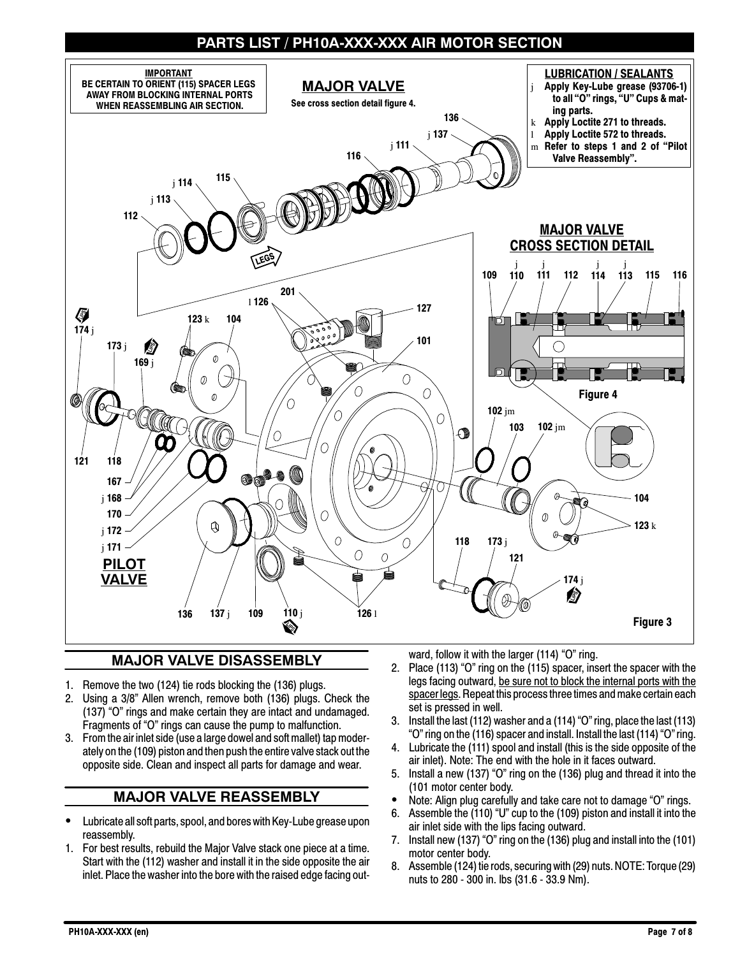# **PARTS LIST / PH10A-XXX-XXX AIR MOTOR SECTION**



# **MAJOR VALVE DISASSEMBLY**

- 1. Remove the two (124) tie rods blocking the (136) plugs.
- 2. Using a 3/8" Allen wrench, remove both (136) plugs. Check the (137) "O" rings and make certain they are intact and undamaged. Fragments of "O" rings can cause the pump to malfunction.
- 3. From the air inlet side (use a large dowel and soft mallet) tap moderately on the (109) piston and then push the entire valve stack out the opposite side. Clean and inspect all parts for damage and wear.

#### **MAJOR VALVE REASSEMBLY**

- Lubricate all soft parts, spool, and bores with Key-Lube grease upon reassembly.
- 1. For best results, rebuild the Major Valve stack one piece at a time. Start with the (112) washer and install it in the side opposite the air inlet. Place the washer into the bore with the raised edge facing out-

ward, follow it with the larger (114) "O" ring.

- 2. Place (113) "O" ring on the (115) spacer, insert the spacer with the legs facing outward, be sure not to block the internal ports with the spacer legs. Repeat this process three times and make certain each set is pressed in well.
- 3. Install the last (112) washer and a (114) "O" ring, place the last (113) "O" ring on the (116) spacer and install. Install the last (114) "O" ring.
- 4. Lubricate the (111) spool and install (this is the side opposite of the air inlet). Note: The end with the hole in it faces outward.
- 5. Install a new (137) "O" ring on the (136) plug and thread it into the (101 motor center body.
- Note: Align plug carefully and take care not to damage "O" rings.
- 6. Assemble the (110) "U" cup to the (109) piston and install it into the air inlet side with the lips facing outward.
- 7. Install new (137) "O" ring on the (136) plug and install into the (101) motor center body.
- 8. Assemble (124) tie rods, securing with (29) nuts. NOTE: Torque (29) nuts to 280 - 300 in. lbs (31.6 - 33.9 Nm).